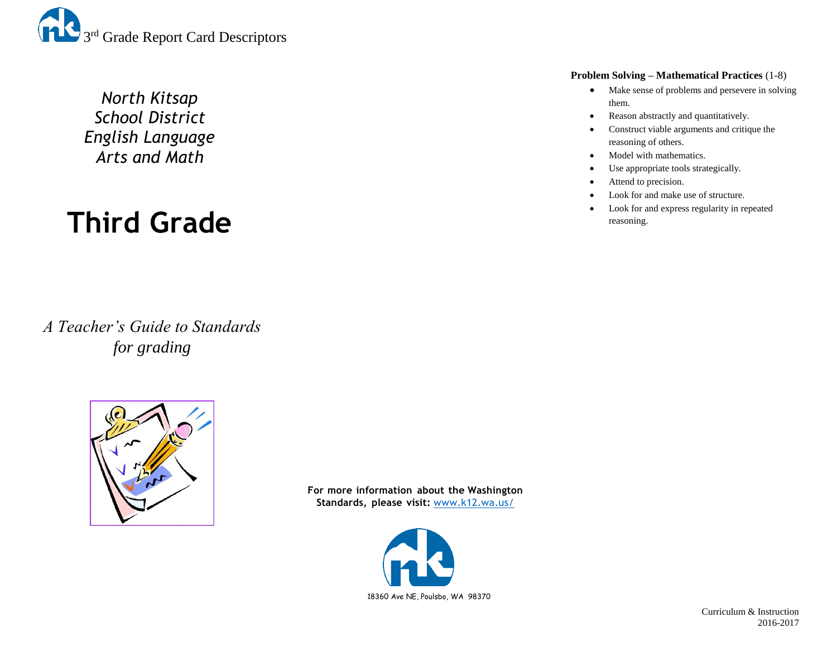

*North Kitsap School District English Language Arts and Math*

# **Third Grade**

*A Teacher's Guide to Standards for grading*



**For more information about the Washington Standards, please visit:** [www.k12.wa.us/](http://www.k12.wa.us/)



#### **Problem Solving – Mathematical Practices** (1-8)

- Make sense of problems and persevere in solving them.
- Reason abstractly and quantitatively.
- Construct viable arguments and critique the reasoning of others.
- Model with mathematics.
- Use appropriate tools strategically.
- Attend to precision.
- Look for and make use of structure.
- Look for and express regularity in repeated reasoning.